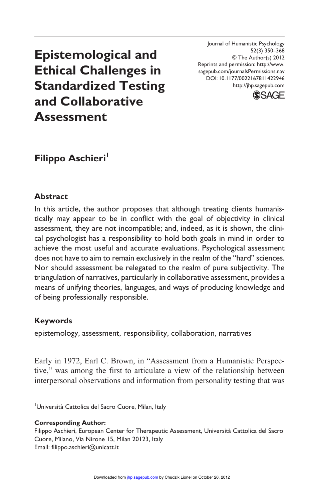**Epistemological and Ethical Challenges in Standardized Testing and Collaborative Assessment**

Journal of Humanistic Psychology 52(3) 350–368 © The Author(s) 2012 Reprints and permission: http://www. sagepub.com/journalsPermissions.nav DOI: 10.1177/0022167811422946 http://jhp.sagepub.com



# **Filippo Aschieri**<sup>1</sup>

### **Abstract**

In this article, the author proposes that although treating clients humanistically may appear to be in conflict with the goal of objectivity in clinical assessment, they are not incompatible; and, indeed, as it is shown, the clinical psychologist has a responsibility to hold both goals in mind in order to achieve the most useful and accurate evaluations. Psychological assessment does not have to aim to remain exclusively in the realm of the "hard" sciences. Nor should assessment be relegated to the realm of pure subjectivity. The triangulation of narratives, particularly in collaborative assessment, provides a means of unifying theories, languages, and ways of producing knowledge and of being professionally responsible.

### **Keywords**

epistemology, assessment, responsibility, collaboration, narratives

Early in 1972, Earl C. Brown, in "Assessment from a Humanistic Perspective," was among the first to articulate a view of the relationship between interpersonal observations and information from personality testing that was

<sup>1</sup>Università Cattolica del Sacro Cuore, Milan, Italy

#### **Corresponding Author:**

Filippo Aschieri, European Center for Therapeutic Assessment, Università Cattolica del Sacro Cuore, Milano, Via Nirone 15, Milan 20123, Italy Email: filippo.aschieri@unicatt.it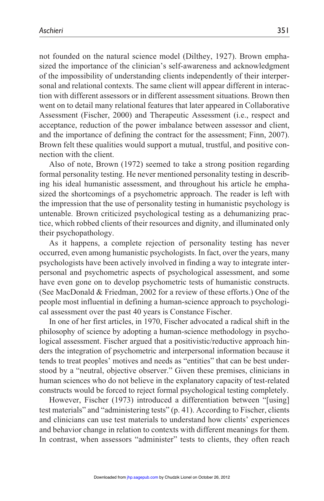not founded on the natural science model (Dilthey, 1927). Brown emphasized the importance of the clinician's self-awareness and acknowledgment of the impossibility of understanding clients independently of their interpersonal and relational contexts. The same client will appear different in interaction with different assessors or in different assessment situations. Brown then went on to detail many relational features that later appeared in Collaborative Assessment (Fischer, 2000) and Therapeutic Assessment (i.e., respect and acceptance, reduction of the power imbalance between assessor and client, and the importance of defining the contract for the assessment; Finn, 2007). Brown felt these qualities would support a mutual, trustful, and positive connection with the client.

Also of note, Brown (1972) seemed to take a strong position regarding formal personality testing. He never mentioned personality testing in describing his ideal humanistic assessment, and throughout his article he emphasized the shortcomings of a psychometric approach. The reader is left with the impression that the use of personality testing in humanistic psychology is untenable. Brown criticized psychological testing as a dehumanizing practice, which robbed clients of their resources and dignity, and illuminated only their psychopathology.

As it happens, a complete rejection of personality testing has never occurred, even among humanistic psychologists. In fact, over the years, many psychologists have been actively involved in finding a way to integrate interpersonal and psychometric aspects of psychological assessment, and some have even gone on to develop psychometric tests of humanistic constructs. (See MacDonald & Friedman, 2002 for a review of these efforts.) One of the people most influential in defining a human-science approach to psychological assessment over the past 40 years is Constance Fischer.

In one of her first articles, in 1970, Fischer advocated a radical shift in the philosophy of science by adopting a human-science methodology in psychological assessment. Fischer argued that a positivistic/reductive approach hinders the integration of psychometric and interpersonal information because it tends to treat peoples' motives and needs as "entities" that can be best understood by a "neutral, objective observer." Given these premises, clinicians in human sciences who do not believe in the explanatory capacity of test-related constructs would be forced to reject formal psychological testing completely.

However, Fischer (1973) introduced a differentiation between "[using] test materials" and "administering tests" (p. 41). According to Fischer, clients and clinicians can use test materials to understand how clients' experiences and behavior change in relation to contexts with different meanings for them. In contrast, when assessors "administer" tests to clients, they often reach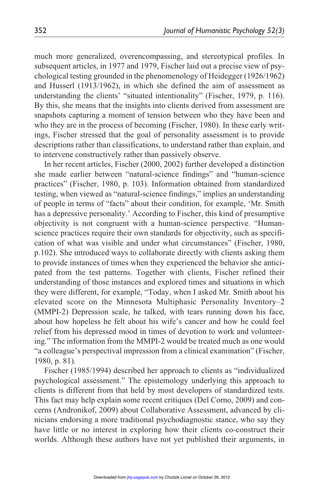much more generalized, overencompassing, and stereotypical profiles. In subsequent articles, in 1977 and 1979, Fischer laid out a precise view of psychological testing grounded in the phenomenology of Heidegger (1926/1962) and Husserl (1913/1962), in which she defined the aim of assessment as understanding the clients' "situated intentionality" (Fischer, 1979, p. 116). By this, she means that the insights into clients derived from assessment are snapshots capturing a moment of tension between who they have been and who they are in the process of becoming (Fischer, 1980). In these early writings, Fischer stressed that the goal of personality assessment is to provide descriptions rather than classifications, to understand rather than explain, and to intervene constructively rather than passively observe.

In her recent articles, Fischer (2000, 2002) further developed a distinction she made earlier between "natural-science findings" and "human-science practices" (Fischer, 1980, p. 103). Information obtained from standardized testing, when viewed as "natural-science findings," implies an understanding of people in terms of "facts" about their condition, for example, 'Mr. Smith has a depressive personality.' According to Fischer, this kind of presumptive objectivity is not congruent with a human-science perspective. "Humanscience practices require their own standards for objectivity, such as specification of what was visible and under what circumstances" (Fischer, 1980, p.102). She introduced ways to collaborate directly with clients asking them to provide instances of times when they experienced the behavior she anticipated from the test patterns. Together with clients, Fischer refined their understanding of those instances and explored times and situations in which they were different, for example, "Today, when I asked Mr. Smith about his elevated score on the Minnesota Multiphasic Personality Inventory–2 (MMPI-2) Depression scale, he talked, with tears running down his face, about how hopeless he felt about his wife's cancer and how he could feel relief from his depressed mood in times of devotion to work and volunteering." The information from the MMPI-2 would be treated much as one would "a colleague's perspectival impression from a clinical examination" (Fischer, 1980, p. 81).

Fischer (1985/1994) described her approach to clients as "individualized psychological assessment." The epistemology underlying this approach to clients is different from that held by most developers of standardized tests. This fact may help explain some recent critiques (Del Corno, 2009) and concerns (Andronikof, 2009) about Collaborative Assessment, advanced by clinicians endorsing a more traditional psychodiagnostic stance, who say they have little or no interest in exploring how their clients co-construct their worlds. Although these authors have not yet published their arguments, in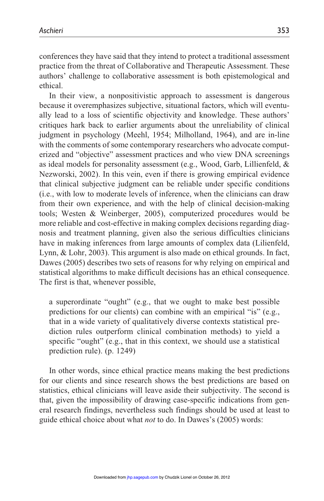conferences they have said that they intend to protect a traditional assessment practice from the threat of Collaborative and Therapeutic Assessment. These authors' challenge to collaborative assessment is both epistemological and ethical.

In their view, a nonpositivistic approach to assessment is dangerous because it overemphasizes subjective, situational factors, which will eventually lead to a loss of scientific objectivity and knowledge. These authors' critiques hark back to earlier arguments about the unreliability of clinical judgment in psychology (Meehl, 1954; Milholland, 1964), and are in-line with the comments of some contemporary researchers who advocate computerized and "objective" assessment practices and who view DNA screenings as ideal models for personality assessment (e.g., Wood, Garb, Lillienfeld, & Nezworski, 2002). In this vein, even if there is growing empirical evidence that clinical subjective judgment can be reliable under specific conditions (i.e., with low to moderate levels of inference, when the clinicians can draw from their own experience, and with the help of clinical decision-making tools; Westen & Weinberger, 2005), computerized procedures would be more reliable and cost-effective in making complex decisions regarding diagnosis and treatment planning, given also the serious difficulties clinicians have in making inferences from large amounts of complex data (Lilienfeld, Lynn, & Lohr, 2003). This argument is also made on ethical grounds. In fact, Dawes (2005) describes two sets of reasons for why relying on empirical and statistical algorithms to make difficult decisions has an ethical consequence. The first is that, whenever possible,

a superordinate "ought" (e.g., that we ought to make best possible predictions for our clients) can combine with an empirical "is" (e.g., that in a wide variety of qualitatively diverse contexts statistical prediction rules outperform clinical combination methods) to yield a specific "ought" (e.g., that in this context, we should use a statistical prediction rule). (p. 1249)

In other words, since ethical practice means making the best predictions for our clients and since research shows the best predictions are based on statistics, ethical clinicians will leave aside their subjectivity. The second is that, given the impossibility of drawing case-specific indications from general research findings, nevertheless such findings should be used at least to guide ethical choice about what *not* to do. In Dawes's (2005) words: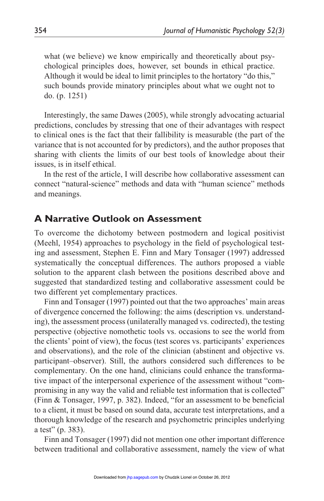what (we believe) we know empirically and theoretically about psychological principles does, however, set bounds in ethical practice. Although it would be ideal to limit principles to the hortatory "do this," such bounds provide minatory principles about what we ought not to do. (p. 1251)

Interestingly, the same Dawes (2005), while strongly advocating actuarial predictions, concludes by stressing that one of their advantages with respect to clinical ones is the fact that their fallibility is measurable (the part of the variance that is not accounted for by predictors), and the author proposes that sharing with clients the limits of our best tools of knowledge about their issues, is in itself ethical.

In the rest of the article, I will describe how collaborative assessment can connect "natural-science" methods and data with "human science" methods and meanings.

## **A Narrative Outlook on Assessment**

To overcome the dichotomy between postmodern and logical positivist (Meehl, 1954) approaches to psychology in the field of psychological testing and assessment, Stephen E. Finn and Mary Tonsager (1997) addressed systematically the conceptual differences. The authors proposed a viable solution to the apparent clash between the positions described above and suggested that standardized testing and collaborative assessment could be two different yet complementary practices.

Finn and Tonsager (1997) pointed out that the two approaches' main areas of divergence concerned the following: the aims (description vs. understanding), the assessment process (unilaterally managed vs. codirected), the testing perspective (objective nomothetic tools vs. occasions to see the world from the clients' point of view), the focus (test scores vs. participants' experiences and observations), and the role of the clinician (abstinent and objective vs. participant–observer). Still, the authors considered such differences to be complementary. On the one hand, clinicians could enhance the transformative impact of the interpersonal experience of the assessment without "compromising in any way the valid and reliable test information that is collected" (Finn & Tonsager, 1997, p. 382). Indeed, "for an assessment to be beneficial to a client, it must be based on sound data, accurate test interpretations, and a thorough knowledge of the research and psychometric principles underlying a test" (p. 383).

Finn and Tonsager (1997) did not mention one other important difference between traditional and collaborative assessment, namely the view of what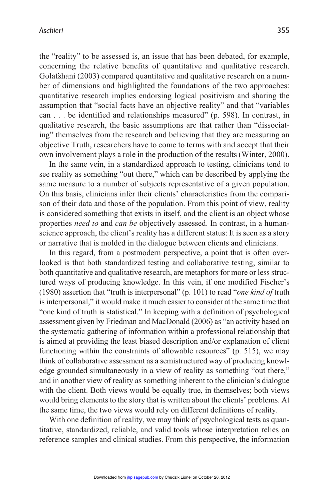the "reality" to be assessed is, an issue that has been debated, for example, concerning the relative benefits of quantitative and qualitative research. Golafshani (2003) compared quantitative and qualitative research on a number of dimensions and highlighted the foundations of the two approaches: quantitative research implies endorsing logical positivism and sharing the assumption that "social facts have an objective reality" and that "variables can . . . be identified and relationships measured" (p. 598). In contrast, in qualitative research, the basic assumptions are that rather than "dissociating" themselves from the research and believing that they are measuring an objective Truth, researchers have to come to terms with and accept that their own involvement plays a role in the production of the results (Winter, 2000).

In the same vein, in a standardized approach to testing, clinicians tend to see reality as something "out there," which can be described by applying the same measure to a number of subjects representative of a given population. On this basis, clinicians infer their clients' characteristics from the comparison of their data and those of the population. From this point of view, reality is considered something that exists in itself, and the client is an object whose properties *need to* and *can be* objectively assessed. In contrast, in a humanscience approach, the client's reality has a different status: It is seen as a story or narrative that is molded in the dialogue between clients and clinicians.

In this regard, from a postmodern perspective, a point that is often overlooked is that both standardized testing and collaborative testing, similar to both quantitative and qualitative research, are metaphors for more or less structured ways of producing knowledge. In this vein, if one modified Fischer's (1980) assertion that "truth is interpersonal" (p. 101) to read "*one kind of* truth is interpersonal," it would make it much easier to consider at the same time that "one kind of truth is statistical." In keeping with a definition of psychological assessment given by Friedman and MacDonald (2006) as "an activity based on the systematic gathering of information within a professional relationship that is aimed at providing the least biased description and/or explanation of client functioning within the constraints of allowable resources" (p. 515), we may think of collaborative assessment as a semistructured way of producing knowledge grounded simultaneously in a view of reality as something "out there," and in another view of reality as something inherent to the clinician's dialogue with the client. Both views would be equally true, in themselves; both views would bring elements to the story that is written about the clients' problems. At the same time, the two views would rely on different definitions of reality.

With one definition of reality, we may think of psychological tests as quantitative, standardized, reliable, and valid tools whose interpretation relies on reference samples and clinical studies. From this perspective, the information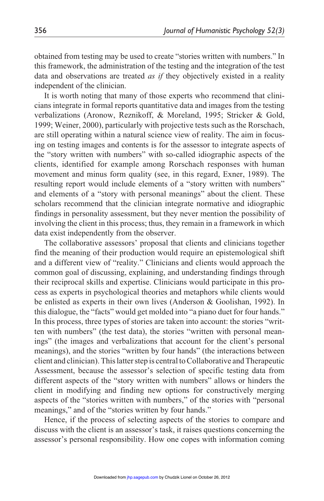obtained from testing may be used to create "stories written with numbers." In this framework, the administration of the testing and the integration of the test data and observations are treated *as if* they objectively existed in a reality independent of the clinician.

It is worth noting that many of those experts who recommend that clinicians integrate in formal reports quantitative data and images from the testing verbalizations (Aronow, Reznikoff, & Moreland, 1995; Stricker & Gold, 1999; Weiner, 2000), particularly with projective tests such as the Rorschach, are still operating within a natural science view of reality. The aim in focusing on testing images and contents is for the assessor to integrate aspects of the "story written with numbers" with so-called idiographic aspects of the clients, identified for example among Rorschach responses with human movement and minus form quality (see, in this regard, Exner, 1989). The resulting report would include elements of a "story written with numbers" and elements of a "story with personal meanings" about the client. These scholars recommend that the clinician integrate normative and idiographic findings in personality assessment, but they never mention the possibility of involving the client in this process; thus, they remain in a framework in which data exist independently from the observer.

The collaborative assessors' proposal that clients and clinicians together find the meaning of their production would require an epistemological shift and a different view of "reality." Clinicians and clients would approach the common goal of discussing, explaining, and understanding findings through their reciprocal skills and expertise. Clinicians would participate in this process as experts in psychological theories and metaphors while clients would be enlisted as experts in their own lives (Anderson & Goolishan, 1992). In this dialogue, the "facts" would get molded into "a piano duet for four hands." In this process, three types of stories are taken into account: the stories "written with numbers" (the test data), the stories "written with personal meanings" (the images and verbalizations that account for the client's personal meanings), and the stories "written by four hands" (the interactions between client and clinician). This latter step is central to Collaborative and Therapeutic Assessment, because the assessor's selection of specific testing data from different aspects of the "story written with numbers" allows or hinders the client in modifying and finding new options for constructively merging aspects of the "stories written with numbers," of the stories with "personal meanings," and of the "stories written by four hands."

Hence, if the process of selecting aspects of the stories to compare and discuss with the client is an assessor's task, it raises questions concerning the assessor's personal responsibility. How one copes with information coming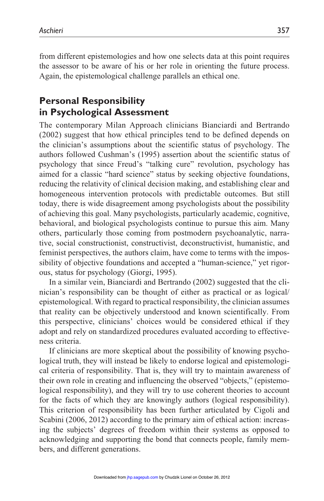from different epistemologies and how one selects data at this point requires the assessor to be aware of his or her role in orienting the future process. Again, the epistemological challenge parallels an ethical one.

# **Personal Responsibility in Psychological Assessment**

The contemporary Milan Approach clinicians Bianciardi and Bertrando (2002) suggest that how ethical principles tend to be defined depends on the clinician's assumptions about the scientific status of psychology. The authors followed Cushman's (1995) assertion about the scientific status of psychology that since Freud's "talking cure" revolution, psychology has aimed for a classic "hard science" status by seeking objective foundations, reducing the relativity of clinical decision making, and establishing clear and homogeneous intervention protocols with predictable outcomes. But still today, there is wide disagreement among psychologists about the possibility of achieving this goal. Many psychologists, particularly academic, cognitive, behavioral, and biological psychologists continue to pursue this aim. Many others, particularly those coming from postmodern psychoanalytic, narrative, social constructionist, constructivist, deconstructivist, humanistic, and feminist perspectives, the authors claim, have come to terms with the impossibility of objective foundations and accepted a "human-science," yet rigorous, status for psychology (Giorgi, 1995).

In a similar vein, Bianciardi and Bertrando (2002) suggested that the clinician's responsibility can be thought of either as practical or as logical/ epistemological. With regard to practical responsibility, the clinician assumes that reality can be objectively understood and known scientifically. From this perspective, clinicians' choices would be considered ethical if they adopt and rely on standardized procedures evaluated according to effectiveness criteria.

If clinicians are more skeptical about the possibility of knowing psychological truth, they will instead be likely to endorse logical and epistemological criteria of responsibility. That is, they will try to maintain awareness of their own role in creating and influencing the observed "objects," (epistemological responsibility), and they will try to use coherent theories to account for the facts of which they are knowingly authors (logical responsibility). This criterion of responsibility has been further articulated by Cigoli and Scabini (2006, 2012) according to the primary aim of ethical action: increasing the subjects' degrees of freedom within their systems as opposed to acknowledging and supporting the bond that connects people, family members, and different generations.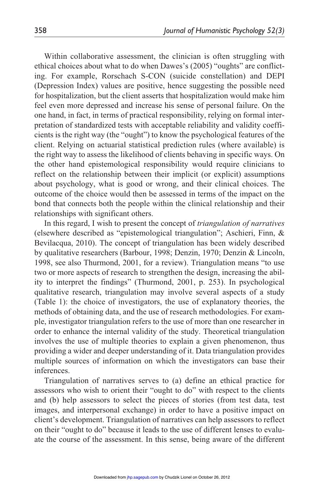Within collaborative assessment, the clinician is often struggling with ethical choices about what to do when Dawes's (2005) "oughts" are conflicting. For example, Rorschach S-CON (suicide constellation) and DEPI (Depression Index) values are positive, hence suggesting the possible need for hospitalization, but the client asserts that hospitalization would make him feel even more depressed and increase his sense of personal failure. On the one hand, in fact, in terms of practical responsibility, relying on formal interpretation of standardized tests with acceptable reliability and validity coefficients is the right way (the "ought") to know the psychological features of the client. Relying on actuarial statistical prediction rules (where available) is the right way to assess the likelihood of clients behaving in specific ways. On the other hand epistemological responsibility would require clinicians to reflect on the relationship between their implicit (or explicit) assumptions about psychology, what is good or wrong, and their clinical choices. The outcome of the choice would then be assessed in terms of the impact on the bond that connects both the people within the clinical relationship and their relationships with significant others.

In this regard, I wish to present the concept of *triangulation of narratives* (elsewhere described as "epistemological triangulation"; Aschieri, Finn, & Bevilacqua, 2010). The concept of triangulation has been widely described by qualitative researchers (Barbour, 1998; Denzin, 1970; Denzin & Lincoln, 1998, see also Thurmond, 2001, for a review). Triangulation means "to use two or more aspects of research to strengthen the design, increasing the ability to interpret the findings" (Thurmond, 2001, p. 253). In psychological qualitative research, triangulation may involve several aspects of a study (Table 1): the choice of investigators, the use of explanatory theories, the methods of obtaining data, and the use of research methodologies. For example, investigator triangulation refers to the use of more than one researcher in order to enhance the internal validity of the study. Theoretical triangulation involves the use of multiple theories to explain a given phenomenon, thus providing a wider and deeper understanding of it. Data triangulation provides multiple sources of information on which the investigators can base their inferences.

Triangulation of narratives serves to (a) define an ethical practice for assessors who wish to orient their "ought to do" with respect to the clients and (b) help assessors to select the pieces of stories (from test data, test images, and interpersonal exchange) in order to have a positive impact on client's development. Triangulation of narratives can help assessors to reflect on their "ought to do" because it leads to the use of different lenses to evaluate the course of the assessment. In this sense, being aware of the different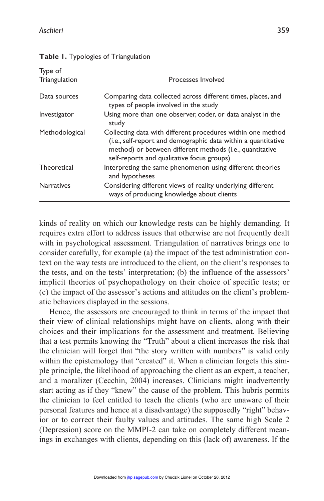| Type of<br>Triangulation | Processes Involved                                                                                                                                                                                                                     |
|--------------------------|----------------------------------------------------------------------------------------------------------------------------------------------------------------------------------------------------------------------------------------|
| Data sources             | Comparing data collected across different times, places, and<br>types of people involved in the study                                                                                                                                  |
| Investigator             | Using more than one observer, coder, or data analyst in the<br>study                                                                                                                                                                   |
| Methodological           | Collecting data with different procedures within one method<br>(i.e., self-report and demographic data within a quantitative<br>method) or between different methods (i.e., quantitative<br>self-reports and qualitative focus groups) |
| Theoretical              | Interpreting the same phenomenon using different theories<br>and hypotheses                                                                                                                                                            |
| <b>Narratives</b>        | Considering different views of reality underlying different<br>ways of producing knowledge about clients                                                                                                                               |

#### **Table 1.** Typologies of Triangulation

kinds of reality on which our knowledge rests can be highly demanding. It requires extra effort to address issues that otherwise are not frequently dealt with in psychological assessment. Triangulation of narratives brings one to consider carefully, for example (a) the impact of the test administration context on the way tests are introduced to the client, on the client's responses to the tests, and on the tests' interpretation; (b) the influence of the assessors' implicit theories of psychopathology on their choice of specific tests; or (c) the impact of the assessor's actions and attitudes on the client's problematic behaviors displayed in the sessions.

Hence, the assessors are encouraged to think in terms of the impact that their view of clinical relationships might have on clients, along with their choices and their implications for the assessment and treatment. Believing that a test permits knowing the "Truth" about a client increases the risk that the clinician will forget that "the story written with numbers" is valid only within the epistemology that "created" it. When a clinician forgets this simple principle, the likelihood of approaching the client as an expert, a teacher, and a moralizer (Cecchin, 2004) increases. Clinicians might inadvertently start acting as if they "knew" the cause of the problem. This hubris permits the clinician to feel entitled to teach the clients (who are unaware of their personal features and hence at a disadvantage) the supposedly "right" behavior or to correct their faulty values and attitudes. The same high Scale 2 (Depression) score on the MMPI-2 can take on completely different meanings in exchanges with clients, depending on this (lack of) awareness. If the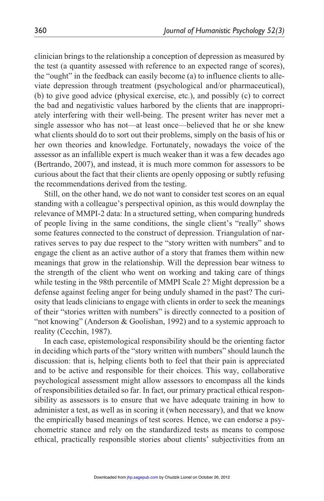clinician brings to the relationship a conception of depression as measured by the test (a quantity assessed with reference to an expected range of scores), the "ought" in the feedback can easily become (a) to influence clients to alleviate depression through treatment (psychological and/or pharmaceutical), (b) to give good advice (physical exercise, etc.), and possibly (c) to correct the bad and negativistic values harbored by the clients that are inappropriately interfering with their well-being. The present writer has never met a single assessor who has not—at least once—believed that he or she knew what clients should do to sort out their problems, simply on the basis of his or her own theories and knowledge. Fortunately, nowadays the voice of the assessor as an infallible expert is much weaker than it was a few decades ago (Bertrando, 2007), and instead, it is much more common for assessors to be curious about the fact that their clients are openly opposing or subtly refusing the recommendations derived from the testing.

Still, on the other hand, we do not want to consider test scores on an equal standing with a colleague's perspectival opinion, as this would downplay the relevance of MMPI-2 data: In a structured setting, when comparing hundreds of people living in the same conditions, the single client's "really" shows some features connected to the construct of depression. Triangulation of narratives serves to pay due respect to the "story written with numbers" and to engage the client as an active author of a story that frames them within new meanings that grow in the relationship. Will the depression bear witness to the strength of the client who went on working and taking care of things while testing in the 98th percentile of MMPI Scale 2? Might depression be a defense against feeling anger for being unduly shamed in the past? The curiosity that leads clinicians to engage with clients in order to seek the meanings of their "stories written with numbers" is directly connected to a position of "not knowing" (Anderson & Goolishan, 1992) and to a systemic approach to reality (Cecchin, 1987).

In each case, epistemological responsibility should be the orienting factor in deciding which parts of the "story written with numbers" should launch the discussion: that is, helping clients both to feel that their pain is appreciated and to be active and responsible for their choices. This way, collaborative psychological assessment might allow assessors to encompass all the kinds of responsibilities detailed so far. In fact, our primary practical ethical responsibility as assessors is to ensure that we have adequate training in how to administer a test, as well as in scoring it (when necessary), and that we know the empirically based meanings of test scores. Hence, we can endorse a psychometric stance and rely on the standardized tests as means to compose ethical, practically responsible stories about clients' subjectivities from an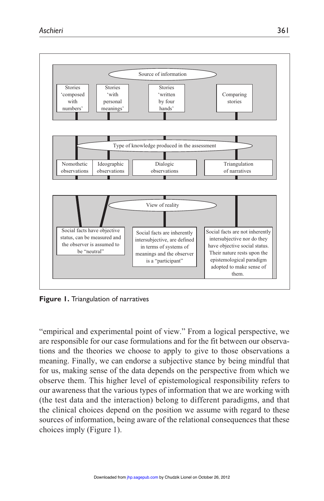

**Figure 1.** Triangulation of narratives

"empirical and experimental point of view." From a logical perspective, we are responsible for our case formulations and for the fit between our observations and the theories we choose to apply to give to those observations a meaning. Finally, we can endorse a subjective stance by being mindful that for us, making sense of the data depends on the perspective from which we observe them. This higher level of epistemological responsibility refers to our awareness that the various types of information that we are working with (the test data and the interaction) belong to different paradigms, and that the clinical choices depend on the position we assume with regard to these sources of information, being aware of the relational consequences that these choices imply (Figure 1).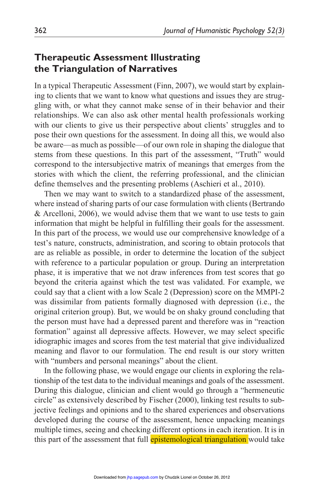## **Therapeutic Assessment Illustrating the Triangulation of Narratives**

In a typical Therapeutic Assessment (Finn, 2007), we would start by explaining to clients that we want to know what questions and issues they are struggling with, or what they cannot make sense of in their behavior and their relationships. We can also ask other mental health professionals working with our clients to give us their perspective about clients' struggles and to pose their own questions for the assessment. In doing all this, we would also be aware—as much as possible—of our own role in shaping the dialogue that stems from these questions. In this part of the assessment, "Truth" would correspond to the intersubjective matrix of meanings that emerges from the stories with which the client, the referring professional, and the clinician define themselves and the presenting problems (Aschieri et al., 2010).

Then we may want to switch to a standardized phase of the assessment, where instead of sharing parts of our case formulation with clients (Bertrando & Arcelloni, 2006), we would advise them that we want to use tests to gain information that might be helpful in fulfilling their goals for the assessment. In this part of the process, we would use our comprehensive knowledge of a test's nature, constructs, administration, and scoring to obtain protocols that are as reliable as possible, in order to determine the location of the subject with reference to a particular population or group. During an interpretation phase, it is imperative that we not draw inferences from test scores that go beyond the criteria against which the test was validated. For example, we could say that a client with a low Scale 2 (Depression) score on the MMPI-2 was dissimilar from patients formally diagnosed with depression (i.e., the original criterion group). But, we would be on shaky ground concluding that the person must have had a depressed parent and therefore was in "reaction formation" against all depressive affects. However, we may select specific idiographic images and scores from the test material that give individualized meaning and flavor to our formulation. The end result is our story written with "numbers and personal meanings" about the client.

In the following phase, we would engage our clients in exploring the relationship of the test data to the individual meanings and goals of the assessment. During this dialogue, clinician and client would go through a "hermeneutic circle" as extensively described by Fischer (2000), linking test results to subjective feelings and opinions and to the shared experiences and observations developed during the course of the assessment, hence unpacking meanings multiple times, seeing and checking different options in each iteration. It is in this part of the assessment that full **epistemological triangulation** would take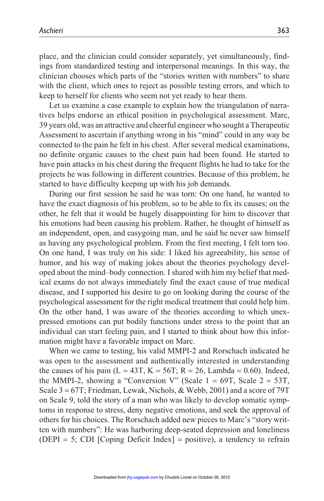place, and the clinician could consider separately, yet simultaneously, findings from standardized testing and interpersonal meanings. In this way, the clinician chooses which parts of the "stories written with numbers" to share with the client, which ones to reject as possible testing errors, and which to keep to herself for clients who seem not yet ready to hear them.

Let us examine a case example to explain how the triangulation of narratives helps endorse an ethical position in psychological assessment. Marc, 39 years old, was an attractive and cheerful engineer who sought a Therapeutic Assessment to ascertain if anything wrong in his "mind" could in any way be connected to the pain he felt in his chest. After several medical examinations, no definite organic causes to the chest pain had been found. He started to have pain attacks in his chest during the frequent flights he had to take for the projects he was following in different countries. Because of this problem, he started to have difficulty keeping up with his job demands.

During our first session he said he was torn: On one hand, he wanted to have the exact diagnosis of his problem, so to be able to fix its causes; on the other, he felt that it would be hugely disappointing for him to discover that his emotions had been causing his problem. Rather, he thought of himself as an independent, open, and easygoing man, and he said he never saw himself as having any psychological problem. From the first meeting, I felt torn too. On one hand, I was truly on his side: I liked his agreeability, his sense of humor, and his way of making jokes about the theories psychology developed about the mind–body connection. I shared with him my belief that medical exams do not always immediately find the exact cause of true medical disease, and I supported his desire to go on looking during the course of the psychological assessment for the right medical treatment that could help him. On the other hand, I was aware of the theories according to which unexpressed emotions can put bodily functions under stress to the point that an individual can start feeling pain, and I started to think about how this information might have a favorable impact on Marc.

When we came to testing, his valid MMPI-2 and Rorschach indicated he was open to the assessment and authentically interested in understanding the causes of his pain ( $L = 43T$ ,  $K = 56T$ ;  $R = 26$ , Lambda = 0.60). Indeed, the MMPI-2, showing a "Conversion V" (Scale  $1 = 69T$ , Scale  $2 = 53T$ , Scale  $3 = 67T$ ; Friedman, Lewak, Nichols, & Webb, 2001) and a score of 79T on Scale 9, told the story of a man who was likely to develop somatic symptoms in response to stress, deny negative emotions, and seek the approval of others for his choices. The Rorschach added new pieces to Marc's "story written with numbers": He was harboring deep-seated depression and loneliness (DEPI = 5; CDI [Coping Deficit Index] = positive), a tendency to refrain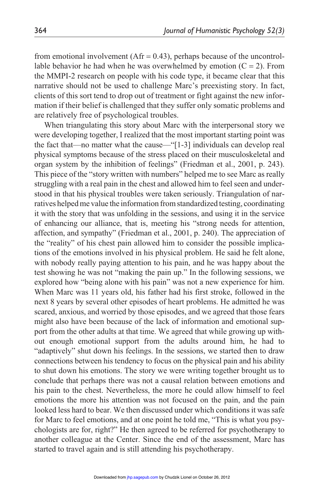from emotional involvement ( $Aff = 0.43$ ), perhaps because of the uncontrollable behavior he had when he was overwhelmed by emotion  $(C = 2)$ . From the MMPI-2 research on people with his code type, it became clear that this narrative should not be used to challenge Marc's preexisting story. In fact, clients of this sort tend to drop out of treatment or fight against the new information if their belief is challenged that they suffer only somatic problems and are relatively free of psychological troubles.

When triangulating this story about Marc with the interpersonal story we were developing together, I realized that the most important starting point was the fact that—no matter what the cause—"[1-3] individuals can develop real physical symptoms because of the stress placed on their musculoskeletal and organ system by the inhibition of feelings" (Friedman et al., 2001, p. 243). This piece of the "story written with numbers" helped me to see Marc as really struggling with a real pain in the chest and allowed him to feel seen and understood in that his physical troubles were taken seriously. Triangulation of narratives helped me value the information from standardized testing, coordinating it with the story that was unfolding in the sessions, and using it in the service of enhancing our alliance, that is, meeting his "strong needs for attention, affection, and sympathy" (Friedman et al., 2001, p. 240). The appreciation of the "reality" of his chest pain allowed him to consider the possible implications of the emotions involved in his physical problem. He said he felt alone, with nobody really paying attention to his pain, and he was happy about the test showing he was not "making the pain up." In the following sessions, we explored how "being alone with his pain" was not a new experience for him. When Marc was 11 years old, his father had his first stroke, followed in the next 8 years by several other episodes of heart problems. He admitted he was scared, anxious, and worried by those episodes, and we agreed that those fears might also have been because of the lack of information and emotional support from the other adults at that time. We agreed that while growing up without enough emotional support from the adults around him, he had to "adaptively" shut down his feelings. In the sessions, we started then to draw connections between his tendency to focus on the physical pain and his ability to shut down his emotions. The story we were writing together brought us to conclude that perhaps there was not a causal relation between emotions and his pain to the chest. Nevertheless, the more he could allow himself to feel emotions the more his attention was not focused on the pain, and the pain looked less hard to bear. We then discussed under which conditions it was safe for Marc to feel emotions, and at one point he told me, "This is what you psychologists are for, right?" He then agreed to be referred for psychotherapy to another colleague at the Center. Since the end of the assessment, Marc has started to travel again and is still attending his psychotherapy.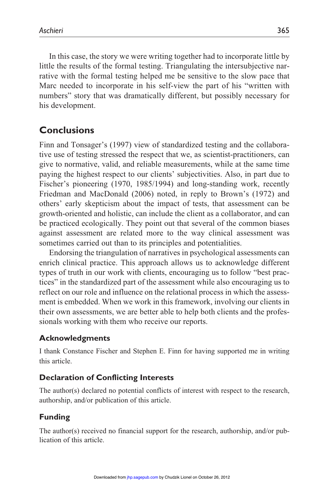In this case, the story we were writing together had to incorporate little by little the results of the formal testing. Triangulating the intersubjective narrative with the formal testing helped me be sensitive to the slow pace that Marc needed to incorporate in his self-view the part of his "written with numbers" story that was dramatically different, but possibly necessary for his development.

# **Conclusions**

Finn and Tonsager's (1997) view of standardized testing and the collaborative use of testing stressed the respect that we, as scientist-practitioners, can give to normative, valid, and reliable measurements, while at the same time paying the highest respect to our clients' subjectivities. Also, in part due to Fischer's pioneering (1970, 1985/1994) and long-standing work, recently Friedman and MacDonald (2006) noted, in reply to Brown's (1972) and others' early skepticism about the impact of tests, that assessment can be growth-oriented and holistic, can include the client as a collaborator, and can be practiced ecologically. They point out that several of the common biases against assessment are related more to the way clinical assessment was sometimes carried out than to its principles and potentialities.

Endorsing the triangulation of narratives in psychological assessments can enrich clinical practice. This approach allows us to acknowledge different types of truth in our work with clients, encouraging us to follow "best practices" in the standardized part of the assessment while also encouraging us to reflect on our role and influence on the relational process in which the assessment is embedded. When we work in this framework, involving our clients in their own assessments, we are better able to help both clients and the professionals working with them who receive our reports.

### **Acknowledgments**

I thank Constance Fischer and Stephen E. Finn for having supported me in writing this article.

### **Declaration of Conflicting Interests**

The author(s) declared no potential conflicts of interest with respect to the research, authorship, and/or publication of this article.

### **Funding**

The author(s) received no financial support for the research, authorship, and/or publication of this article.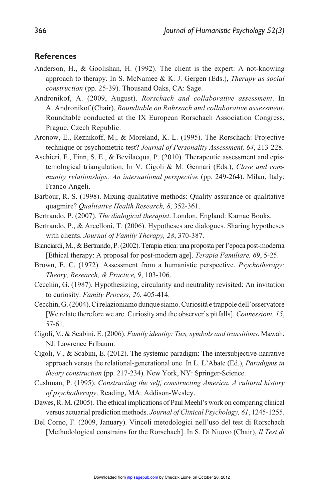### **References**

- Anderson, H., & Goolishan, H. (1992). The client is the expert: A not-knowing approach to therapy. In S. McNamee & K. J. Gergen (Eds.), *Therapy as social construction* (pp. 25-39). Thousand Oaks, CA: Sage.
- Andronikof, A. (2009, August). *Rorschach and collaborative assessment*. In A. Andronikof (Chair), *Roundtable on Rohrsach and collaborative assessment*. Roundtable conducted at the IX European Rorschach Association Congress, Prague, Czech Republic.
- Aronow, E., Reznikoff, M., & Moreland, K. L. (1995). The Rorschach: Projective technique or psychometric test? *Journal of Personality Assessment, 64*, 213-228.
- Aschieri, F., Finn, S. E., & Bevilacqua, P. (2010). Therapeutic assessment and epistemological triangulation. In V. Cigoli & M. Gennari (Eds.), *Close and community relationships: An international perspective* (pp. 249-264). Milan, Italy: Franco Angeli.
- Barbour, R. S. (1998). Mixing qualitative methods: Quality assurance or qualitative quagmire? *Qualitative Health Research, 8*, 352-361.
- Bertrando, P. (2007). *The dialogical therapist*. London, England: Karnac Books.
- Bertrando, P., & Arcelloni, T. (2006). Hypotheses are dialogues. Sharing hypotheses with clients. *Journal of Family Therapy, 28*, 370-387.
- Bianciardi, M., & Bertrando, P. (2002). Terapia etica: una proposta per l'epoca post-moderna [Ethical therapy: A proposal for post-modern age]. *Terapia Familiare, 69*, 5-25.
- Brown, E. C. (1972). Assessment from a humanistic perspective. *Psychotherapy: Theory, Research, & Practice, 9*, 103-106.
- Cecchin, G. (1987). Hypothesizing, circularity and neutrality revisited: An invitation to curiosity. *Family Process, 26*, 405-414.
- Cecchin, G. (2004). Ci relazioniamo dunque siamo. Curiosità e trappole dell'osservatore [We relate therefore we are. Curiosity and the observer's pitfalls]. *Connessioni, 15*, 57-61.
- Cigoli, V., & Scabini, E. (2006). *Family identity: Ties, symbols and transitions*. Mawah, NJ: Lawrence Erlbaum.
- Cigoli, V., & Scabini, E. (2012). The systemic paradigm: The intersubjective-narrative approach versus the relational-generational one. In L. L'Abate (Ed.), *Paradigms in theory construction* (pp. 217-234). New York, NY: Springer-Science.
- Cushman, P. (1995). *Constructing the self, constructing America. A cultural history of psychotherapy*. Reading, MA: Addison-Wesley.
- Dawes, R. M. (2005). The ethical implications of Paul Meehl's work on comparing clinical versus actuarial prediction methods. *Journal of Clinical Psychology, 61*, 1245-1255.
- Del Corno, F. (2009, January). Vincoli metodologici nell'uso del test di Rorschach [Methodological constrains for the Rorschach]. In S. Di Nuovo (Chair), *Il Test di*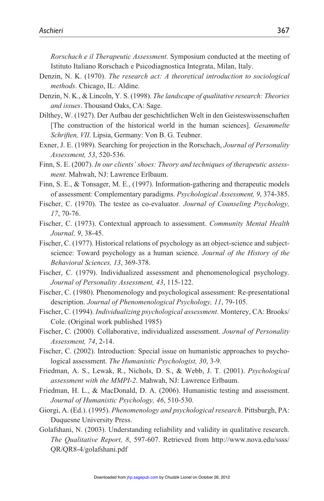*Rorschach e il Therapeutic Assessment*. Symposium conducted at the meeting of Istituto Italiano Rorschach e Psicodiagnostica Integrata, Milan, Italy.

- Denzin, N. K. (1970). *The research act: A theoretical introduction to sociological methods*. Chicago, IL: Aldine.
- Denzin, N. K., & Lincoln, Y. S. (1998). *The landscape of qualitative research: Theories and issues*. Thousand Oaks, CA: Sage.
- Dilthey, W. (1927). Der Aufbau der geschichtlichen Welt in den Geisteswissenschaften [The construction of the historical world in the human sciences]. *Gesammelte Schriften, VII*. Lipsia, Germany: Von B. G. Teubner.
- Exner, J. E. (1989). Searching for projection in the Rorschach, *Journal of Personality Assessment, 53*, 520-536.
- Finn, S. E. (2007). *In our clients' shoes: Theory and techniques of therapeutic assessment*. Mahwah, NJ: Lawrence Erlbaum.
- Finn, S. E., & Tonsager, M. E., (1997). Information-gathering and therapeutic models of assessment: Complementary paradigms. *Psychological Assessment, 9*, 374-385.
- Fischer, C. (1970). The testee as co-evaluator. *Journal of Counseling Psychology, 17*, 70-76.
- Fischer, C. (1973). Contextual approach to assessment. *Community Mental Health Journal, 9*, 38-45.
- Fischer, C. (1977). Historical relations of psychology as an object-science and subjectscience: Toward psychology as a human science. *Journal of the History of the Behavioral Sciences, 13*, 369-378.
- Fischer, C. (1979). Individualized assessment and phenomenological psychology. *Journal of Personality Assessment, 43*, 115-122.
- Fischer, C. (1980). Phenomenology and psychological assessment: Re-presentational description. *Journal of Phenomenological Psychology, 11*, 79-105.
- Fischer, C. (1994). *Individualizing psychological assessment*. Monterey, CA: Brooks/ Cole. (Original work published 1985)
- Fischer, C. (2000). Collaborative, individualized assessment. *Journal of Personality Assessment, 74*, 2-14.
- Fischer, C. (2002). Introduction: Special issue on humanistic approaches to psychological assessment. *The Humanistic Psychologist, 30*, 3-9.
- Friedman, A. S., Lewak, R., Nichols, D. S., & Webb, J. T. (2001). *Psychological assessment with the MMPI-2*. Mahwah, NJ: Lawrence Erlbaum.
- Friedman, H. L., & MacDonald, D. A. (2006). Humanistic testing and assessment. *Journal of Humanistic Psychology, 46*, 510-530.
- Giorgi, A. (Ed.). (1995). *Phenomenology and psychological research*. Pittsburgh, PA: Duquesne University Press.
- Golafshani, N. (2003). Understanding reliability and validity in qualitative research. *The Qualitative Report, 8*, 597-607. Retrieved from http://www.nova.edu/ssss/ QR/QR8-4/golafshani.pdf